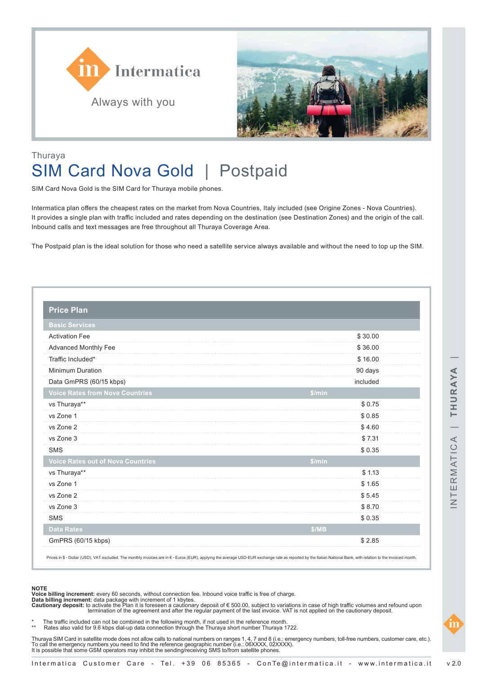



## Thuraya SIM Card Nova Gold | Postpaid

SIM Card Nova Gold is the SIM Card for Thuraya mobile phones.

Intermatica plan offers the cheapest rates on the market from Nova Countries, Italy included (see Origine Zones - Nova Countries). It provides a single plan with traffic included and rates depending on the destination (see Destination Zones) and the origin of the call. Inbound calls and text messages are free throughout all Thuraya Coverage Area.

The Postpaid plan is the ideal solution for those who need a satellite service always available and without the need to top up the SIM.

| <b>Basic Services</b>                    |          |
|------------------------------------------|----------|
| <b>Activation Fee</b>                    | \$30.00  |
| Advanced Monthly Fee                     | \$36.00  |
| Traffic Included*                        | \$16.00  |
| <b>Minimum Duration</b>                  | 90 days  |
| Data GmPRS (60/15 kbps)                  | included |
| <b>Voice Rates from Nova Countries</b>   | \$/min   |
| vs Thuraya**                             | \$0.75   |
| vs Zone 1                                | \$0.85   |
| vs Zone 2                                | \$4.60   |
| vs Zone 3                                | \$7.31   |
| <b>SMS</b>                               | \$0.35   |
| <b>Voice Rates out of Nova Countries</b> | \$/min   |
| vs Thuraya**                             | \$1.13   |
| vs Zone 1                                | \$1.65   |
| vs Zone 2                                | \$5.45   |
| vs Zone 3                                | \$8.70   |
| <b>SMS</b>                               | \$0.35   |
| <b>Data Rates</b>                        | \$/MB    |
| GmPRS (60/15 kbps)                       | \$2.85   |

Prices in \$ - Dollar (USD), VAT excluded. The monthly invoices are in € - Euros (EUR), applying the average USD-EUR exchange rate as reported by the Italian National Bank, with relation to the invoiced month

**Voice billing increment:** every 60 seconds, without connection fee. Inbound voice traffic is free of charge.

**Data billing increment:** data package with increment of 1 kbytes.<br>**Cautionary deposit:** to activate the Plan it is foreseen a cautionary deposit of € 500.00, subject to variations in case of high traffic volumes and refo termination of the agreement and after the regular payment of the last invoice. VAT is not applied on the cautionary deposit.

\* The traffic included can not be combined in the following month, if not used in the reference month.<br>\*\* Rates also valid for 9.6 kbps dial-up data connection through the Thuraya short number Thuraya 1722.

Thuraya SIM Card in satellite mode does not allow calls to national numbers on ranges 1, 4, 7 and 8 (i.e.: emergency numbers, toll-free numbers, customer care, etc.). To call the emergency numbers you need to find the reference geographic number (i.e.: 06XXXX, 02XXXX).<br>It is possible that some GSM operators may inhibit the sending/receiving SMS to/from satellite phones.

**NOTE**